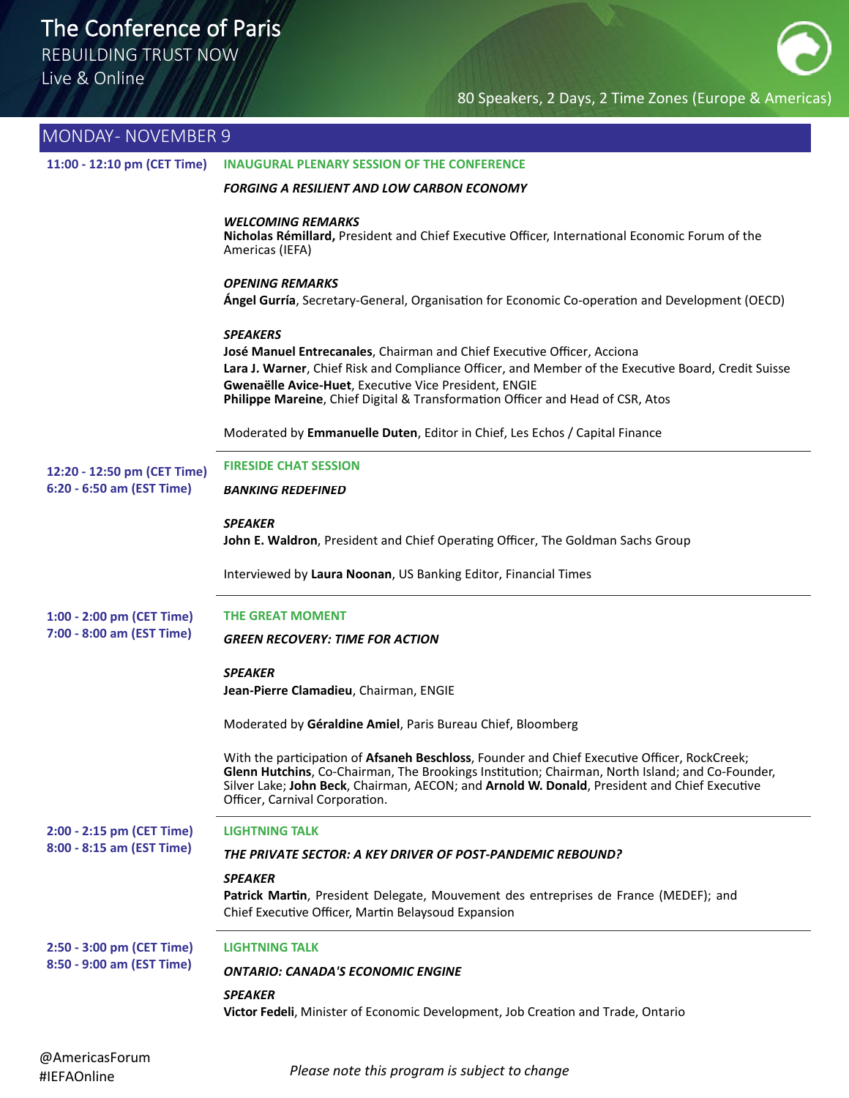REBUILDING TRUST NOW

Live & Online

### 80 Speakers, 2 Days, 2 Time Zones (Europe & Americas)

| MONDAY- NOVEMBER 9                                     |                                                                                                                                                                                                                                                                                                                                              |
|--------------------------------------------------------|----------------------------------------------------------------------------------------------------------------------------------------------------------------------------------------------------------------------------------------------------------------------------------------------------------------------------------------------|
| 11:00 - 12:10 pm (CET Time)                            | INAUGURAL PLENARY SESSION OF THE CONFERENCE                                                                                                                                                                                                                                                                                                  |
|                                                        | <b>FORGING A RESILIENT AND LOW CARBON ECONOMY</b>                                                                                                                                                                                                                                                                                            |
|                                                        | WELCOMING REMARKS<br>Nicholas Rémillard, President and Chief Executive Officer, International Economic Forum of the<br>Americas (IEFA)                                                                                                                                                                                                       |
|                                                        | <b>OPENING REMARKS</b><br>Ángel Gurría, Secretary-General, Organisation for Economic Co-operation and Development (OECD)                                                                                                                                                                                                                     |
|                                                        | <b>SPEAKERS</b><br>José Manuel Entrecanales, Chairman and Chief Executive Officer, Acciona<br>Lara J. Warner, Chief Risk and Compliance Officer, and Member of the Executive Board, Credit Suisse<br>Gwenaëlle Avice-Huet, Executive Vice President, ENGIE<br>Philippe Mareine, Chief Digital & Transformation Officer and Head of CSR, Atos |
|                                                        | Moderated by Emmanuelle Duten, Editor in Chief, Les Echos / Capital Finance                                                                                                                                                                                                                                                                  |
| 12:20 - 12:50 pm (CET Time)                            | <b>FIRESIDE CHAT SESSION</b>                                                                                                                                                                                                                                                                                                                 |
| 6:20 - 6:50 am (EST Time)                              | <b>BANKING REDEFINED</b>                                                                                                                                                                                                                                                                                                                     |
|                                                        | <b>SPEAKER</b><br>John E. Waldron, President and Chief Operating Officer, The Goldman Sachs Group                                                                                                                                                                                                                                            |
|                                                        | Interviewed by Laura Noonan, US Banking Editor, Financial Times                                                                                                                                                                                                                                                                              |
| 1:00 - 2:00 pm (CET Time)                              | <b>THE GREAT MOMENT</b>                                                                                                                                                                                                                                                                                                                      |
| 7:00 - 8:00 am (EST Time)                              | <b>GREEN RECOVERY: TIME FOR ACTION</b>                                                                                                                                                                                                                                                                                                       |
|                                                        | <b>SPEAKER</b>                                                                                                                                                                                                                                                                                                                               |
|                                                        | Jean-Pierre Clamadieu, Chairman, ENGIE                                                                                                                                                                                                                                                                                                       |
|                                                        | Moderated by Géraldine Amiel, Paris Bureau Chief, Bloomberg                                                                                                                                                                                                                                                                                  |
|                                                        | With the participation of Afsaneh Beschloss, Founder and Chief Executive Officer, RockCreek;<br>Glenn Hutchins, Co-Chairman, The Brookings Institution; Chairman, North Island; and Co-Founder,<br>Silver Lake; John Beck, Chairman, AECON; and Arnold W. Donald, President and Chief Executive<br>Officer, Carnival Corporation.            |
| 2:00 - 2:15 pm (CET Time)<br>8:00 - 8:15 am (EST Time) | <b>LIGHTNING TALK</b>                                                                                                                                                                                                                                                                                                                        |
|                                                        | THE PRIVATE SECTOR: A KEY DRIVER OF POST-PANDEMIC REBOUND?                                                                                                                                                                                                                                                                                   |
|                                                        | <b>SPEAKER</b><br>Patrick Martin, President Delegate, Mouvement des entreprises de France (MEDEF); and<br>Chief Executive Officer, Martin Belaysoud Expansion                                                                                                                                                                                |
| 2:50 - 3:00 pm (CET Time)<br>8:50 - 9:00 am (EST Time) | LIGHTNING TALK                                                                                                                                                                                                                                                                                                                               |
|                                                        | ONTARIO: CANADA'S ECONOMIC ENGINE                                                                                                                                                                                                                                                                                                            |
|                                                        | <b>SPEAKER</b><br>Victor Fedeli, Minister of Economic Development, Job Creation and Trade, Ontario                                                                                                                                                                                                                                           |

#IEFAOnline *Please note this program is subject to change*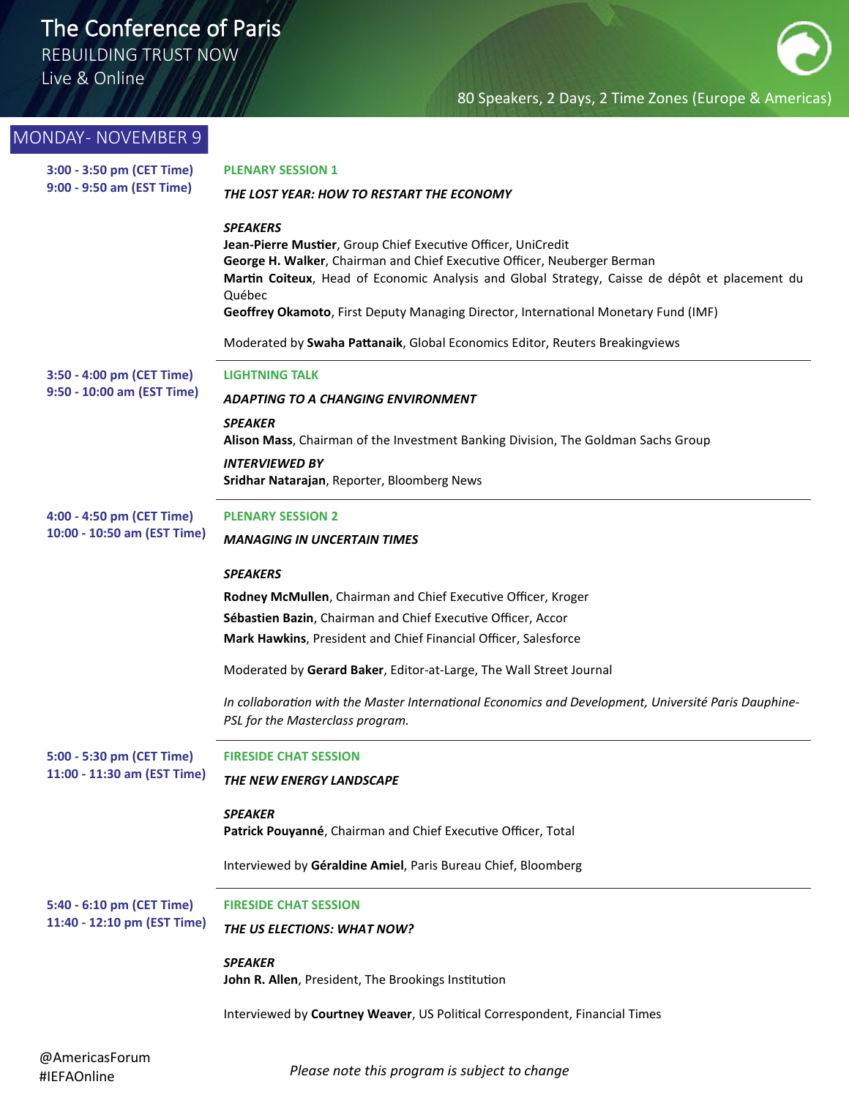REBUILDING TRUST NOW

Live & Online

| <b>MONDAY- NOVEMBER 9</b>                                |                                                                                                                                           |
|----------------------------------------------------------|-------------------------------------------------------------------------------------------------------------------------------------------|
| 3:00 - 3:50 pm (CET Time)<br>9:00 - 9:50 am (EST Time)   | <b>PLENARY SESSION 1</b>                                                                                                                  |
|                                                          | THE LOST YEAR: HOW TO RESTART THE ECONOMY                                                                                                 |
|                                                          | <b>SPEAKERS</b>                                                                                                                           |
|                                                          | Jean-Pierre Mustier, Group Chief Executive Officer, UniCredit<br>George H. Walker, Chairman and Chief Executive Officer, Neuberger Berman |
|                                                          | Martin Coiteux, Head of Economic Analysis and Global Strategy, Caisse de dépôt et placement du                                            |
|                                                          | Québec                                                                                                                                    |
|                                                          | Geoffrey Okamoto, First Deputy Managing Director, International Monetary Fund (IMF)                                                       |
|                                                          | Moderated by Swaha Pattanaik, Global Economics Editor, Reuters Breakingviews                                                              |
| 3:50 - 4:00 pm (CET Time)                                | <b>LIGHTNING TALK</b>                                                                                                                     |
| 9:50 - 10:00 am (EST Time)                               | <b>ADAPTING TO A CHANGING ENVIRONMENT</b>                                                                                                 |
|                                                          | <b>SPEAKER</b><br>Alison Mass, Chairman of the Investment Banking Division, The Goldman Sachs Group                                       |
|                                                          | <b>INTERVIEWED BY</b>                                                                                                                     |
|                                                          | Sridhar Natarajan, Reporter, Bloomberg News                                                                                               |
| 4:00 - 4:50 pm (CET Time)                                | <b>PLENARY SESSION 2</b>                                                                                                                  |
| 10:00 - 10:50 am (EST Time)                              | <b>MANAGING IN UNCERTAIN TIMES</b>                                                                                                        |
|                                                          | <b>SPEAKERS</b>                                                                                                                           |
|                                                          | Rodney McMullen, Chairman and Chief Executive Officer, Kroger                                                                             |
|                                                          | Sébastien Bazin, Chairman and Chief Executive Officer, Accor                                                                              |
|                                                          | Mark Hawkins, President and Chief Financial Officer, Salesforce                                                                           |
|                                                          | Moderated by Gerard Baker, Editor-at-Large, The Wall Street Journal                                                                       |
|                                                          | In collaboration with the Master International Economics and Development, Université Paris Dauphine-                                      |
|                                                          | PSL for the Masterclass program.                                                                                                          |
| 5:00 - 5:30 pm (CET Time)                                | <b>FIRESIDE CHAT SESSION</b>                                                                                                              |
| 11:00 - 11:30 am (EST Time)                              | THE NEW ENERGY LANDSCAPE                                                                                                                  |
|                                                          | <b>SPEAKER</b>                                                                                                                            |
|                                                          | Patrick Pouyanné, Chairman and Chief Executive Officer, Total                                                                             |
|                                                          | Interviewed by Géraldine Amiel, Paris Bureau Chief, Bloomberg                                                                             |
| 5:40 - 6:10 pm (CET Time)<br>11:40 - 12:10 pm (EST Time) | <b>FIRESIDE CHAT SESSION</b>                                                                                                              |
|                                                          | THE US ELECTIONS: WHAT NOW?                                                                                                               |
|                                                          | <b>SPEAKER</b>                                                                                                                            |
|                                                          | John R. Allen, President, The Brookings Institution                                                                                       |
|                                                          | Interviewed by Courtney Weaver, US Political Correspondent, Financial Times                                                               |
| @AmericasForum                                           |                                                                                                                                           |
| #IEFAOnline                                              | Please note this program is subject to change                                                                                             |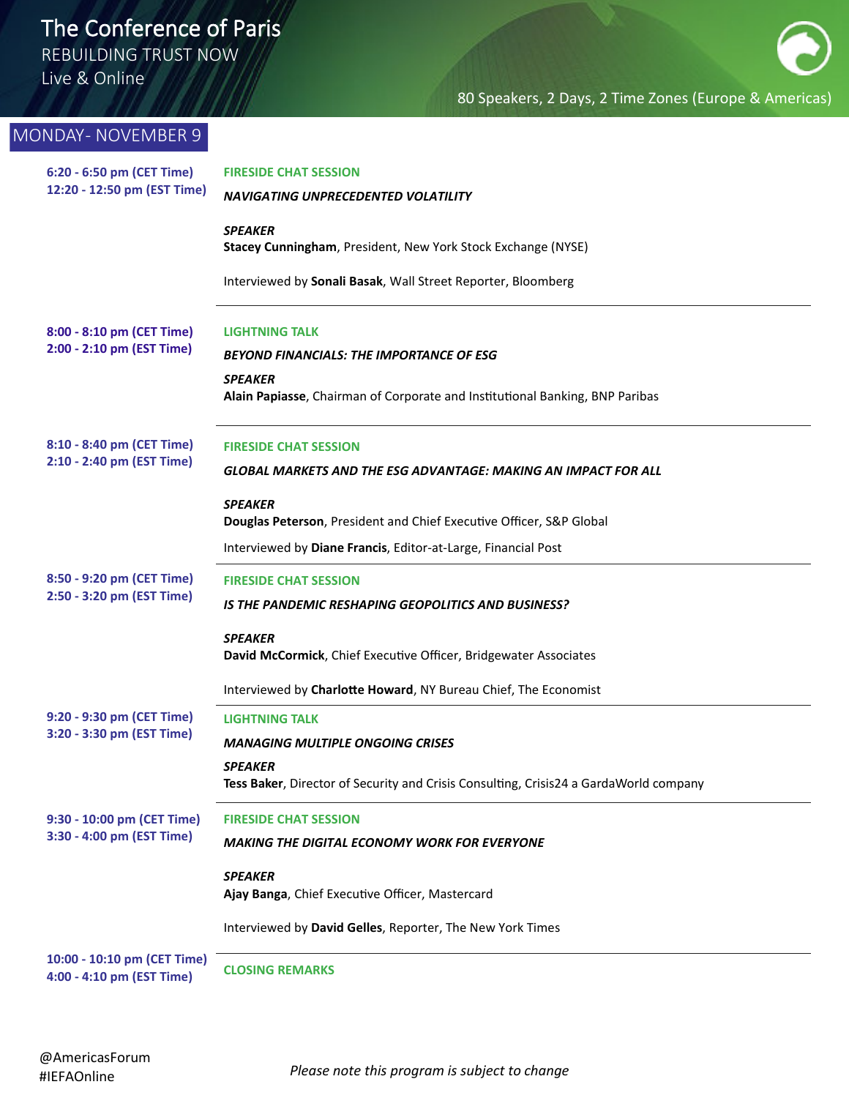REBUILDING TRUST NOW

Live & Online

| MONDAY- NOVEMBER 9                                       |                                                                                                         |
|----------------------------------------------------------|---------------------------------------------------------------------------------------------------------|
| 6:20 - 6:50 pm (CET Time)<br>12:20 - 12:50 pm (EST Time) | <b>FIRESIDE CHAT SESSION</b>                                                                            |
|                                                          | NAVIGATING UNPRECEDENTED VOLATILITY                                                                     |
|                                                          | <b>SPEAKER</b><br>Stacey Cunningham, President, New York Stock Exchange (NYSE)                          |
|                                                          | Interviewed by Sonali Basak, Wall Street Reporter, Bloomberg                                            |
| 8:00 - 8:10 pm (CET Time)                                | <b>LIGHTNING TALK</b>                                                                                   |
| 2:00 - 2:10 pm (EST Time)                                | <b>BEYOND FINANCIALS: THE IMPORTANCE OF ESG</b>                                                         |
|                                                          | <b>SPEAKER</b><br>Alain Papiasse, Chairman of Corporate and Institutional Banking, BNP Paribas          |
| 8:10 - 8:40 pm (CET Time)                                | <b>FIRESIDE CHAT SESSION</b>                                                                            |
| 2:10 - 2:40 pm (EST Time)                                | GLOBAL MARKETS AND THE ESG ADVANTAGE: MAKING AN IMPACT FOR ALL                                          |
|                                                          | <b>SPEAKER</b><br>Douglas Peterson, President and Chief Executive Officer, S&P Global                   |
|                                                          | Interviewed by Diane Francis, Editor-at-Large, Financial Post                                           |
| 8:50 - 9:20 pm (CET Time)                                | <b>FIRESIDE CHAT SESSION</b>                                                                            |
| 2:50 - 3:20 pm (EST Time)                                | IS THE PANDEMIC RESHAPING GEOPOLITICS AND BUSINESS?                                                     |
|                                                          | <b>SPEAKER</b>                                                                                          |
|                                                          | David McCormick, Chief Executive Officer, Bridgewater Associates                                        |
|                                                          | Interviewed by Charlotte Howard, NY Bureau Chief, The Economist                                         |
| 9:20 - 9:30 pm (CET Time)                                | <b>LIGHTNING TALK</b>                                                                                   |
| 3:20 - 3:30 pm (EST Time)                                | <b>MANAGING MULTIPLE ONGOING CRISES</b>                                                                 |
|                                                          | <b>SPEAKER</b><br>Tess Baker, Director of Security and Crisis Consulting, Crisis24 a GardaWorld company |
| 9:30 - 10:00 pm (CET Time)<br>3:30 - 4:00 pm (EST Time)  | <b>FIRESIDE CHAT SESSION</b>                                                                            |
|                                                          | MAKING THE DIGITAL ECONOMY WORK FOR EVERYONE                                                            |
|                                                          | <b>SPEAKER</b><br>Ajay Banga, Chief Executive Officer, Mastercard                                       |
|                                                          | Interviewed by David Gelles, Reporter, The New York Times                                               |
| 10:00 - 10:10 pm (CET Time)<br>4:00 - 4:10 pm (EST Time) | <b>CLOSING REMARKS</b>                                                                                  |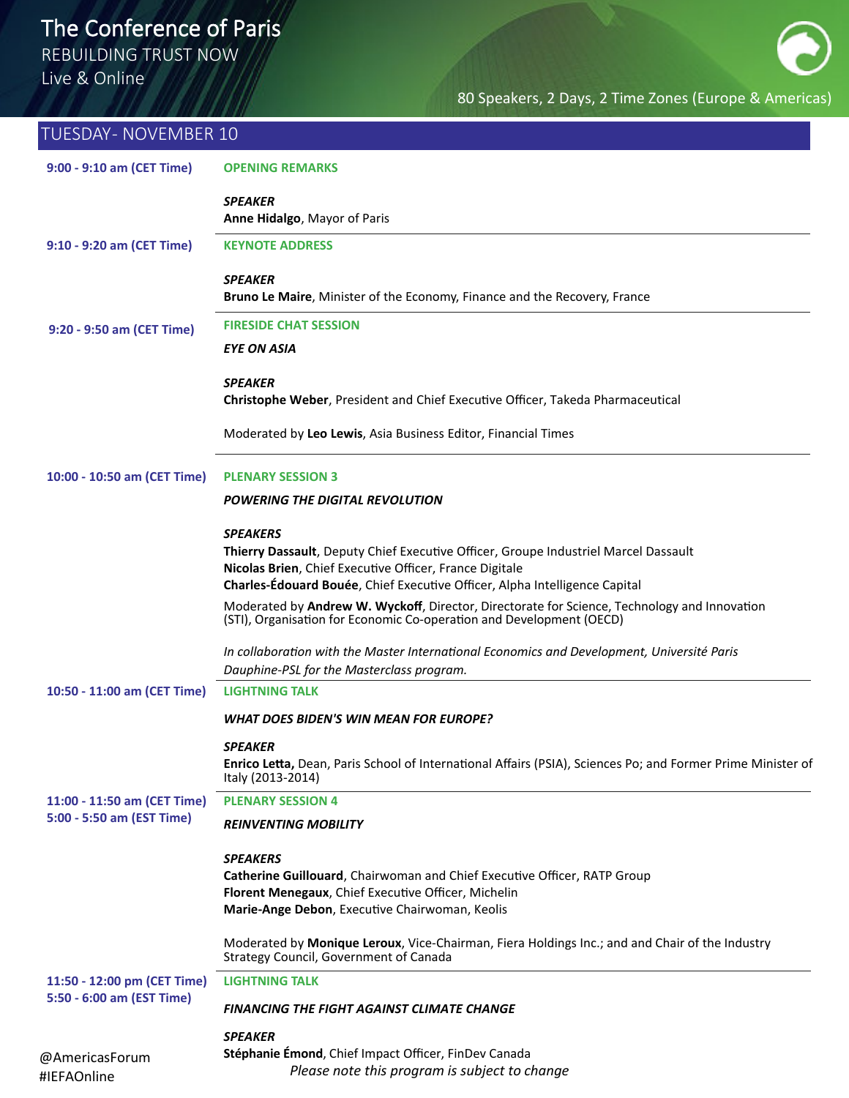REBUILDING TRUST NOW

Live & Online

| <b>TUESDAY- NOVEMBER 10</b>                              |                                                                                                                                                                                                                                                 |
|----------------------------------------------------------|-------------------------------------------------------------------------------------------------------------------------------------------------------------------------------------------------------------------------------------------------|
| 9:00 - 9:10 am (CET Time)                                | <b>OPENING REMARKS</b>                                                                                                                                                                                                                          |
|                                                          | <b>SPEAKER</b><br>Anne Hidalgo, Mayor of Paris                                                                                                                                                                                                  |
| 9:10 - 9:20 am (CET Time)                                | <b>KEYNOTE ADDRESS</b>                                                                                                                                                                                                                          |
|                                                          | <b>SPEAKER</b><br>Bruno Le Maire, Minister of the Economy, Finance and the Recovery, France                                                                                                                                                     |
| 9:20 - 9:50 am (CET Time)                                | <b>FIRESIDE CHAT SESSION</b>                                                                                                                                                                                                                    |
|                                                          | EYE ON ASIA                                                                                                                                                                                                                                     |
|                                                          | <b>SPEAKER</b><br>Christophe Weber, President and Chief Executive Officer, Takeda Pharmaceutical                                                                                                                                                |
|                                                          | Moderated by Leo Lewis, Asia Business Editor, Financial Times                                                                                                                                                                                   |
| 10:00 - 10:50 am (CET Time)                              | <b>PLENARY SESSION 3</b>                                                                                                                                                                                                                        |
|                                                          | <b>POWERING THE DIGITAL REVOLUTION</b>                                                                                                                                                                                                          |
|                                                          | <b>SPEAKERS</b><br>Thierry Dassault, Deputy Chief Executive Officer, Groupe Industriel Marcel Dassault<br>Nicolas Brien, Chief Executive Officer, France Digitale<br>Charles-Édouard Bouée, Chief Executive Officer, Alpha Intelligence Capital |
|                                                          | Moderated by Andrew W. Wyckoff, Director, Directorate for Science, Technology and Innovation<br>(STI), Organisation for Economic Co-operation and Development (OECD)                                                                            |
|                                                          | In collaboration with the Master International Economics and Development, Université Paris<br>Dauphine-PSL for the Masterclass program.                                                                                                         |
| 10:50 - 11:00 am (CET Time)                              | <b>LIGHTNING TALK</b>                                                                                                                                                                                                                           |
|                                                          | <b>WHAT DOES BIDEN'S WIN MEAN FOR EUROPE?</b>                                                                                                                                                                                                   |
|                                                          | <b>SPEAKER</b><br>Enrico Letta, Dean, Paris School of International Affairs (PSIA), Sciences Po; and Former Prime Minister of<br>Italy (2013-2014)                                                                                              |
| 11:00 - 11:50 am (CET Time)                              | <b>PLENARY SESSION 4</b>                                                                                                                                                                                                                        |
| 5:00 - 5:50 am (EST Time)                                | <b>REINVENTING MOBILITY</b>                                                                                                                                                                                                                     |
|                                                          | <b>SPEAKERS</b><br>Catherine Guillouard, Chairwoman and Chief Executive Officer, RATP Group<br>Florent Menegaux, Chief Executive Officer, Michelin<br>Marie-Ange Debon, Executive Chairwoman, Keolis                                            |
|                                                          | Moderated by Monique Leroux, Vice-Chairman, Fiera Holdings Inc.; and and Chair of the Industry<br>Strategy Council, Government of Canada                                                                                                        |
| 11:50 - 12:00 pm (CET Time)<br>5:50 - 6:00 am (EST Time) | <b>LIGHTNING TALK</b>                                                                                                                                                                                                                           |
|                                                          | <b>FINANCING THE FIGHT AGAINST CLIMATE CHANGE</b>                                                                                                                                                                                               |
|                                                          | <b>SPEAKER</b>                                                                                                                                                                                                                                  |
| @AmericasForum<br>#IEFAOnline                            | Stéphanie Émond, Chief Impact Officer, FinDev Canada<br>Please note this program is subject to change                                                                                                                                           |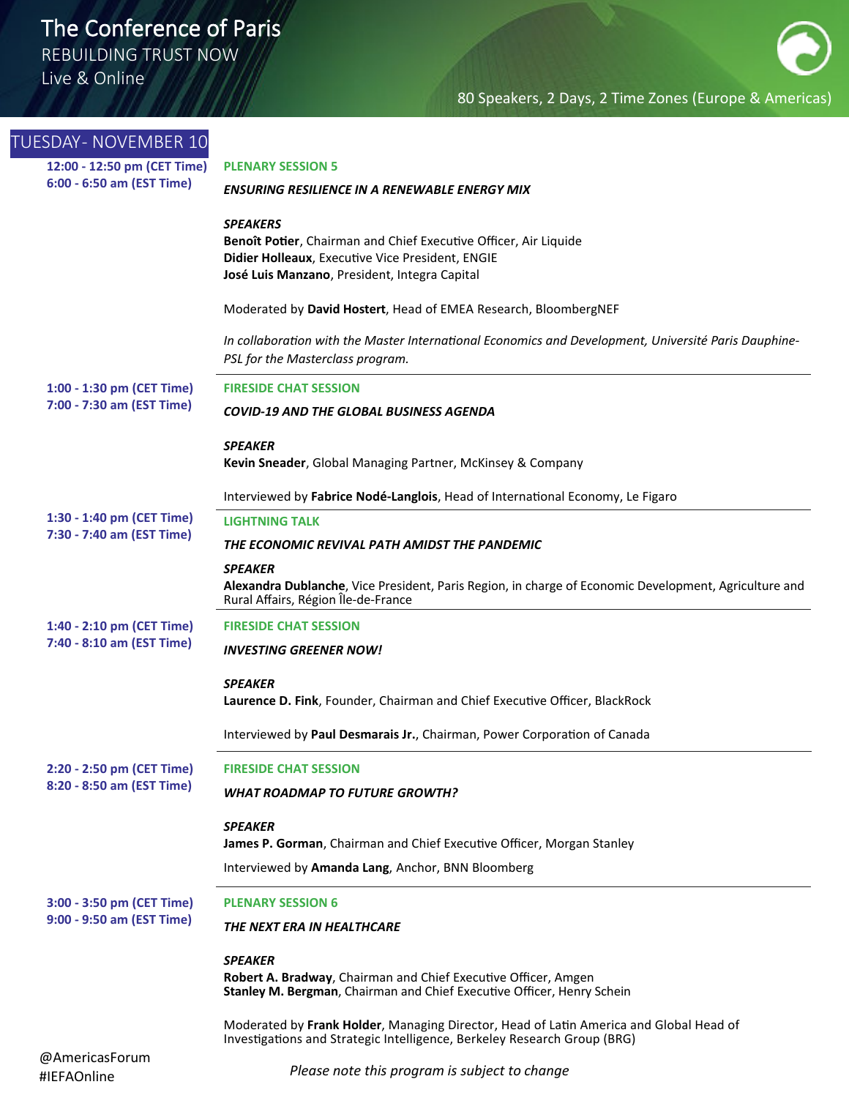REBUILDING TRUST NOW

Live & Online

| <b>TUESDAY- NOVEMBER 10</b>                              |                                                                                                                                                                    |
|----------------------------------------------------------|--------------------------------------------------------------------------------------------------------------------------------------------------------------------|
| 12:00 - 12:50 pm (CET Time)<br>6:00 - 6:50 am (EST Time) | <b>PLENARY SESSION 5</b>                                                                                                                                           |
|                                                          | <b>ENSURING RESILIENCE IN A RENEWABLE ENERGY MIX</b>                                                                                                               |
|                                                          | <b>SPEAKERS</b>                                                                                                                                                    |
|                                                          | Benoît Potier, Chairman and Chief Executive Officer, Air Liquide                                                                                                   |
|                                                          | Didier Holleaux, Executive Vice President, ENGIE                                                                                                                   |
|                                                          | José Luis Manzano, President, Integra Capital                                                                                                                      |
|                                                          | Moderated by David Hostert, Head of EMEA Research, BloombergNEF                                                                                                    |
|                                                          | In collaboration with the Master International Economics and Development, Université Paris Dauphine-<br>PSL for the Masterclass program.                           |
| 1:00 - 1:30 pm (CET Time)                                | <b>FIRESIDE CHAT SESSION</b>                                                                                                                                       |
| 7:00 - 7:30 am (EST Time)                                | <b>COVID-19 AND THE GLOBAL BUSINESS AGENDA</b>                                                                                                                     |
|                                                          | <b>SPEAKER</b>                                                                                                                                                     |
|                                                          | Kevin Sneader, Global Managing Partner, McKinsey & Company                                                                                                         |
|                                                          | Interviewed by Fabrice Nodé-Langlois, Head of International Economy, Le Figaro                                                                                     |
| 1:30 - 1:40 pm (CET Time)                                | <b>LIGHTNING TALK</b>                                                                                                                                              |
| 7:30 - 7:40 am (EST Time)                                | THE ECONOMIC REVIVAL PATH AMIDST THE PANDEMIC                                                                                                                      |
|                                                          | <b>SPEAKER</b>                                                                                                                                                     |
|                                                          | Alexandra Dublanche, Vice President, Paris Region, in charge of Economic Development, Agriculture and<br>Rural Affairs, Région Île-de-France                       |
| 1:40 - 2:10 pm (CET Time)                                | <b>FIRESIDE CHAT SESSION</b>                                                                                                                                       |
| 7:40 - 8:10 am (EST Time)                                | <b>INVESTING GREENER NOW!</b>                                                                                                                                      |
|                                                          | <b>SPEAKER</b>                                                                                                                                                     |
|                                                          | Laurence D. Fink, Founder, Chairman and Chief Executive Officer, BlackRock                                                                                         |
|                                                          | Interviewed by Paul Desmarais Jr., Chairman, Power Corporation of Canada                                                                                           |
| 2:20 - 2:50 pm (CET Time)                                | <b>FIRESIDE CHAT SESSION</b>                                                                                                                                       |
| 8:20 - 8:50 am (EST Time)                                | <b>WHAT ROADMAP TO FUTURE GROWTH?</b>                                                                                                                              |
|                                                          | <b>SPEAKER</b>                                                                                                                                                     |
|                                                          | James P. Gorman, Chairman and Chief Executive Officer, Morgan Stanley                                                                                              |
|                                                          | Interviewed by Amanda Lang, Anchor, BNN Bloomberg                                                                                                                  |
| 3:00 - 3:50 pm (CET Time)                                | <b>PLENARY SESSION 6</b>                                                                                                                                           |
| 9:00 - 9:50 am (EST Time)                                | THE NEXT ERA IN HEALTHCARE                                                                                                                                         |
|                                                          | <b>SPEAKER</b>                                                                                                                                                     |
|                                                          | Robert A. Bradway, Chairman and Chief Executive Officer, Amgen<br>Stanley M. Bergman, Chairman and Chief Executive Officer, Henry Schein                           |
|                                                          | Moderated by Frank Holder, Managing Director, Head of Latin America and Global Head of<br>Investigations and Strategic Intelligence, Berkeley Research Group (BRG) |
| @AmericasForum<br>#IEFAOnline                            | Please note this program is subject to change                                                                                                                      |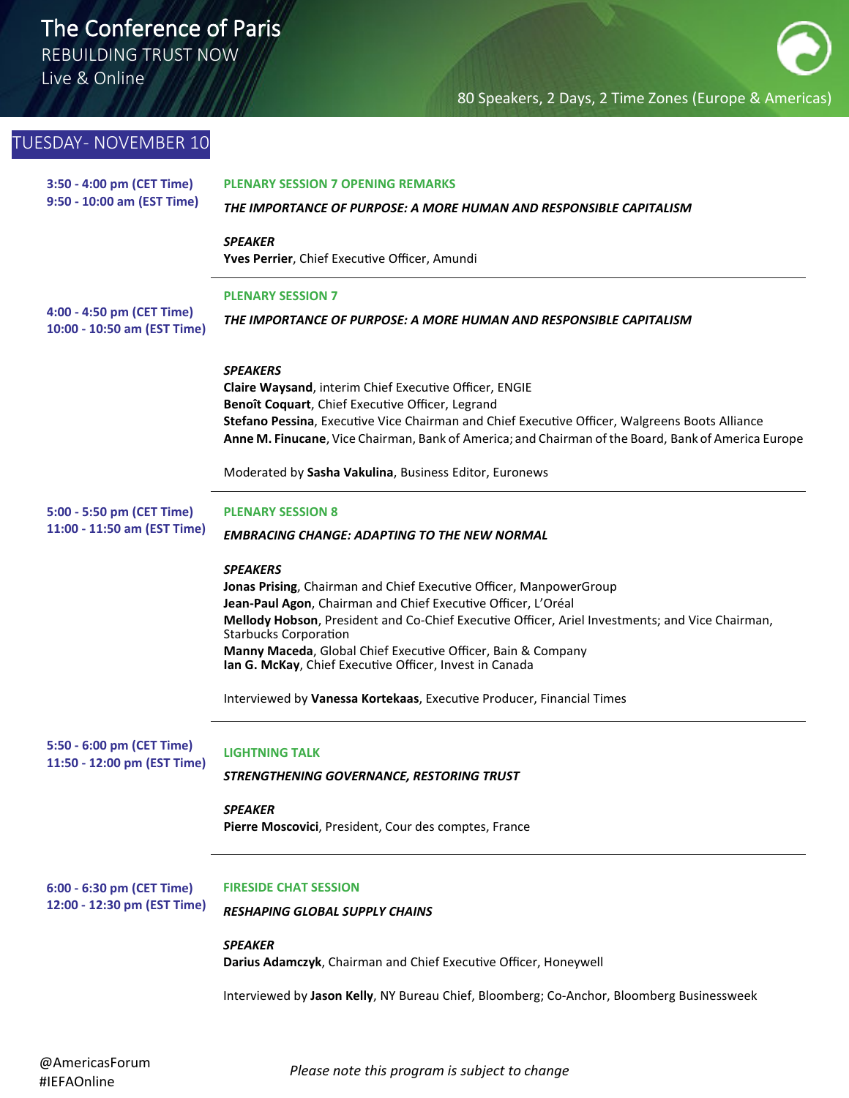REBUILDING TRUST NOW

Live & Online

### 80 Speakers, 2 Days, 2 Time Zones (Europe & Americas)

| TUESDAY- NOVEMBER 10                                     |                                                                                                                                                                                                                                                                                                                                        |
|----------------------------------------------------------|----------------------------------------------------------------------------------------------------------------------------------------------------------------------------------------------------------------------------------------------------------------------------------------------------------------------------------------|
| 3:50 - 4:00 pm (CET Time)<br>9:50 - 10:00 am (EST Time)  | <b>PLENARY SESSION 7 OPENING REMARKS</b><br>THE IMPORTANCE OF PURPOSE: A MORE HUMAN AND RESPONSIBLE CAPITALISM                                                                                                                                                                                                                         |
|                                                          | <b>SPEAKER</b><br>Yves Perrier, Chief Executive Officer, Amundi                                                                                                                                                                                                                                                                        |
| 4:00 - 4:50 pm (CET Time)<br>10:00 - 10:50 am (EST Time) | <b>PLENARY SESSION 7</b><br>THE IMPORTANCE OF PURPOSE: A MORE HUMAN AND RESPONSIBLE CAPITALISM                                                                                                                                                                                                                                         |
|                                                          | <b>SPEAKERS</b><br>Claire Waysand, interim Chief Executive Officer, ENGIE<br>Benoît Coquart, Chief Executive Officer, Legrand<br>Stefano Pessina, Executive Vice Chairman and Chief Executive Officer, Walgreens Boots Alliance<br>Anne M. Finucane, Vice Chairman, Bank of America; and Chairman of the Board, Bank of America Europe |
|                                                          | Moderated by Sasha Vakulina, Business Editor, Euronews                                                                                                                                                                                                                                                                                 |
| 5:00 - 5:50 pm (CET Time)<br>11:00 - 11:50 am (EST Time) | <b>PLENARY SESSION 8</b><br><b>EMBRACING CHANGE: ADAPTING TO THE NEW NORMAL</b>                                                                                                                                                                                                                                                        |
|                                                          | <b>SPEAKERS</b><br>Jonas Prising, Chairman and Chief Executive Officer, ManpowerGroup<br>Jean-Paul Agon, Chairman and Chief Executive Officer, L'Oréal<br>Mellody Hobson, President and Co-Chief Executive Officer, Ariel Investments; and Vice Chairman,<br><b>Starbucks Corporation</b>                                              |
|                                                          | Manny Maceda, Global Chief Executive Officer, Bain & Company<br>Ian G. McKay, Chief Executive Officer, Invest in Canada                                                                                                                                                                                                                |
|                                                          | Interviewed by Vanessa Kortekaas, Executive Producer, Financial Times                                                                                                                                                                                                                                                                  |
| 5:50 - 6:00 pm (CET Time)<br>11:50 - 12:00 pm (EST Time) | <b>LIGHTNING TALK</b><br>STRENGTHENING GOVERNANCE, RESTORING TRUST                                                                                                                                                                                                                                                                     |
|                                                          | <b>SPEAKER</b><br>Pierre Moscovici, President, Cour des comptes, France                                                                                                                                                                                                                                                                |
| 6:00 - 6:30 pm (CET Time)<br>12:00 - 12:30 pm (EST Time) | <b>FIRESIDE CHAT SESSION</b><br>RESHAPING GLOBAL SUPPLY CHAINS                                                                                                                                                                                                                                                                         |
|                                                          | <b>SPEAKER</b><br>Darius Adamczyk, Chairman and Chief Executive Officer, Honeywell                                                                                                                                                                                                                                                     |
|                                                          | Interviewed by Jason Kelly, NY Bureau Chief, Bloomberg; Co-Anchor, Bloomberg Businessweek                                                                                                                                                                                                                                              |
|                                                          |                                                                                                                                                                                                                                                                                                                                        |

*Please note this program is subject to change*